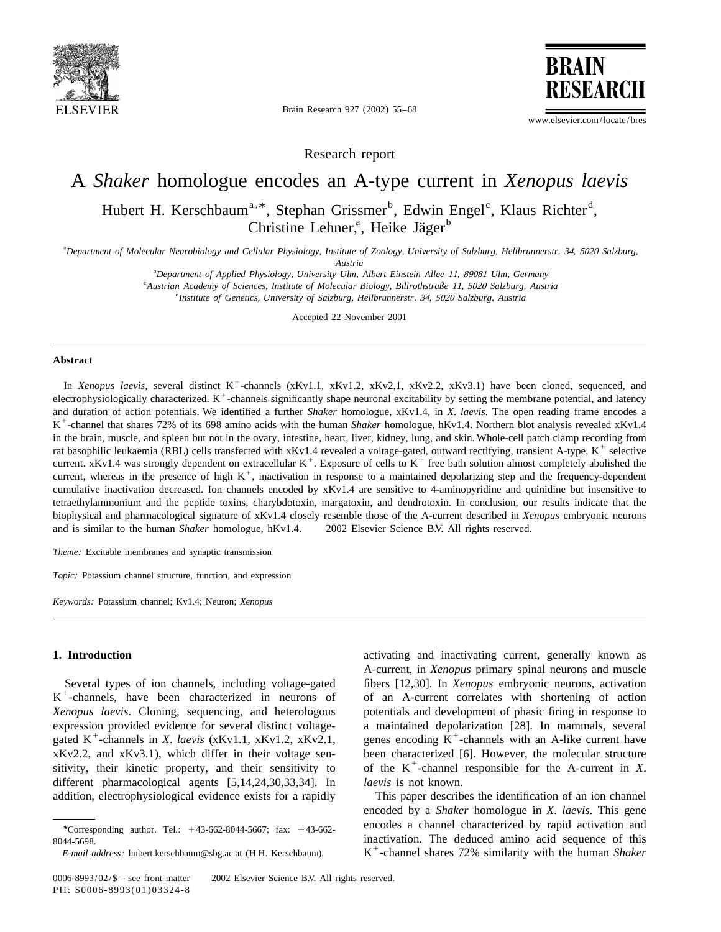

Brain Research 927 (2002) 55–68

**BRAIN RESEAR** 

www.elsevier.com/locate/bres

Research report

# A *Shaker* homologue encodes an A-type current in *Xenopus laevis*

Hubert H. Kerschbaum<sup>a, \*</sup>, Stephan Grissmer<sup>b</sup>, Edwin Engel<sup>c</sup>, Klaus Richter<sup>d</sup>, Christine Lehner,<sup>a</sup>, Heike Jäger<sup>b</sup>

a *Department of Molecular Neurobiology and Cellular Physiology*, *Institute of Zoology*, *University of Salzburg*, *Hellbrunnerstr*. 34, <sup>5020</sup> *Salzburg*,

*Austria*

b *Department of Applied Physiology*, *University Ulm*, *Albert Einstein Allee* 11, <sup>89081</sup> *Ulm*, *Germany*

c *Austrian Academy of Sciences*, *Institute of Molecular Biology*, *Billrothstraße* 11, <sup>5020</sup> *Salzburg*, *Austria*

d *Institute of Genetics*, *University of Salzburg*, *Hellbrunnerstr*. 34, <sup>5020</sup> *Salzburg*, *Austria*

Accepted 22 November 2001

### **Abstract**

In Xenopus laevis, several distinct  $K^+$ -channels (xKv1.1, xKv1.2, xKv2.1, xKv2.2, xKv3.1) have been cloned, sequenced, and electrophysiologically characterized.  $K^+$ -channels significantly shape neuronal excitability b and duration of action potentials. We identified a further *Shaker* homologue, xKv1.4, in X. laevis. The open reading frame encodes a  $K^+$ -channel that shares 72% of its 698 amino acids with the human *Shaker* homologue, in the brain, muscle, and spleen but not in the ovary, intestine, heart, liver, kidney, lung, and skin. Whole-cell patch clamp recording from<br>rat basophilic leukaemia (RBL) cells transfected with xKv1.4 revealed a voltage cumulative inactivation decreased. Ion channels encoded by xKv1.4 are sensitive to 4-aminopyridine and quinidine but insensitive to tetraethylammonium and the peptide toxins, charybdotoxin, margatoxin, and dendrotoxin. In conclusion, our results indicate that the biophysical and pharmacological signature of xKv1.4 closely resemble those of the A-current described in *Xenopus* embryonic neurons and is similar to the human *Shaker* homologue, hKv1.4.  $\oslash$  2002 Elsevier Science B.V. All rights reserved.

*Theme*: Excitable membranes and synaptic transmission

*Topic*: Potassium channel structure, function, and expression

*Keywords*: Potassium channel; Kv1.4; Neuron; *Xenopus*

# **1. Introduction** activating and inactivating current, generally known as

different pharmacological agents [5,14,24,30,33,34]. In *laevis* is not known. addition, electrophysiological evidence exists for a rapidly This paper describes the identification of an ion channel

A-current, in *Xenopus* primary spinal neurons and muscle Several types of ion channels, including voltage-gated fibers [12,30]. In *Xenopus* embryonic neurons, activation K<sup>+</sup>-channels, have been characterized in neurons of of an A-current correlates with shortening of action *Xenopus laevis*. Cloning, sequencing, and heterologous potentials and development of phasic firing in response to expression provided evidence for several distinct voltage-<br>galaxies a maintained depolarization [28]. In mammals, several gated  $K^+$ -channels in X. laevis (xKv1.1, xKv1.2, xKv2.1, genes encoding  $K^+$ -channels with an AxKv2.2, and xKv3.1), which differ in their voltage sen-<br>been characterized [6]. However, the molecular structure<br>sitivity, their kinetic property, and their sensitivity to of the K<sup>+</sup>-channel responsible for the A-current

encoded by a *Shaker* homologue in *X*. *laevis*. This gene encodes a channel characterized by rapid activation and *\**Corresponding author. Tel.: <sup>1</sup>43-662-8044-5667; fax: <sup>1</sup>43-662- 8044-5698.<br>*E-mail address:* hubert.kerschbaum@sbg.ac.at (H.H. Kerschbaum). K<sup>+</sup>-channel shares 72% similarity with the human *Shaker*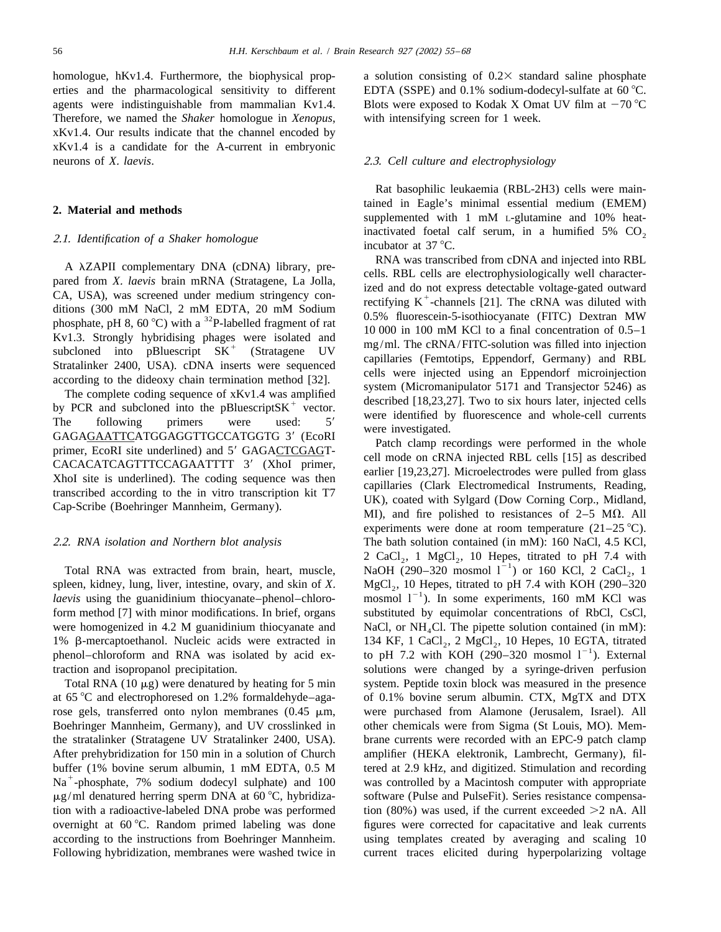Therefore, we named the *Shaker* homologue in *Xenopus*, with intensifying screen for 1 week. xKv1.4. Our results indicate that the channel encoded by xKv1.4 is a candidate for the A-current in embryonic neurons of *X*. *laevis*. 2.3. *Cell culture and electrophysiology*

spleen, kidney, lung, liver, intestine, ovary, and skin of X. MgCl<sub>2</sub>, 10 Hepes, titrated to pH 7.4 with KOH (290–320 *laevis* using the guanidinium thiocyanate–phenol–chloro- mosmol  $1^{-1}$ ). In some experiments, 160 mM K form method [7] with minor modifications. In brief, organs substituted by equimolar concentrations of RbCl, CsCl, were homogenized in 4.2 M guanidinium thiocyanate and NaCl, or NH<sub>4</sub>Cl. The pipette solution contained (in mM): 1%  $\beta$ -mercaptoethanol. Nucleic acids were extracted in 134 KF, 1 CaCl<sub>2</sub>, 2 MgCl<sub>2</sub>, 10 Hepes, 10 EGTA, tit 1% β-mercaptoethanol. Nucleic acids were extracted in 134 KF, 1 CaCl<sub>2</sub>, 2 MgCl<sub>2</sub>, 10 Hepes, 10 EGTA, titrated phenol–chloroform and RNA was isolated by acid ex- to pH 7.2 with KOH (290–320 mosmol 1<sup>-1</sup>). External traction and isopropanol precipitation. solutions were changed by a syringe-driven perfusion

at 65 °C and electrophoresed on 1.2% formaldehyde–aga- of 0.1% bovine serum albumin. CTX, MgTX and DTX rose gels, transferred onto nylon membranes (0.45  $\mu$ m, were purchased from Alamone (Jerusalem, Israel). All Boehringer Mannheim, Germany), and UV crosslinked in other chemicals were from Sigma (St Louis, MO). Memthe stratalinker (Stratagene UV Stratalinker 2400, USA). brane currents were recorded with an EPC-9 patch clamp After prehybridization for 150 min in a solution of Church amplifier (HEKA elektronik, Lambrecht, Germany), filbuffer (1% bovine serum albumin, 1 mM EDTA, 0.5 M tered at 2.9 kHz, and digitized. Stimulation and recording Na<sup>+</sup>-phosphate, 7% sodium dodecyl sulphate) and 100 was controlled by a Macintosh computer with appropriate  $\mu$ g/ml denatured herring sperm DNA at 60 °C, hybridiza-software (Pulse and PulseFit). Series resistance compensation with a radioactive-labeled DNA probe was performed tion  $(80%)$  was used, if the current exceeded  $>2$  nA. All overnight at  $60^{\circ}$ C. Random primed labeling was done figures were corrected for capacitative and leak currents according to the instructions from Boehringer Mannheim. using templates created by averaging and scaling 10 Following hybridization, membranes were washed twice in current traces elicited during hyperpolarizing voltage

homologue, hKv1.4. Furthermore, the biophysical prop- a solution consisting of  $0.2 \times$  standard saline phosphate erties and the pharmacological sensitivity to different EDTA (SSPE) and 0.1% sodium-dodecyl-sulfate at 60 °C. agents were indistinguishable from mammalian Kv1.4. Blots were exposed to Kodak X Omat UV film at  $-70^{\circ}$ C

Rat basophilic leukaemia (RBL-2H3) cells were main-**2. Material and methods** tained in Eagle's minimal essential medium (EMEM) supplemented with 1 mM L-glutamine and 10% heat-2.1. *Identification of a Shaker homologue* inactivated foetal calf serum, in a humified 5% CO<sub>2</sub> incubator at 37 °C.

A  $\lambda$ ZAPII complementary DNA (cDNA) library, preceded throm CDNA and injected into RBL<br>pared from *X. laevis* brain mRNA (Stratagene, La Jolla, RBL cells are detectrophysiologically well character<br>cCA, USA), was screened

experiments were done at room temperature  $(21-25 \degree C)$ . 2.2. *RNA isolation and Northern blot analysis* The bath solution contained (in mM): 160 NaCl, 4.5 KCl,  $2 \text{ CaCl}_2$ , 1 MgCl<sub>2</sub>, 10 Hepes, titrated to pH 7.4 with 2 CaCl<sub>2</sub>, 1 MgCl<sub>2</sub>, 10 Hepes, titrated to pH 7.4 with NaOH (290–320 mosmol l<sup>-1</sup>) or 160 KCl, 2 CaCl<sub>2</sub>, 1 Total RNA  $(10 \mu g)$  were denatured by heating for 5 min system. Peptide toxin block was measured in the presence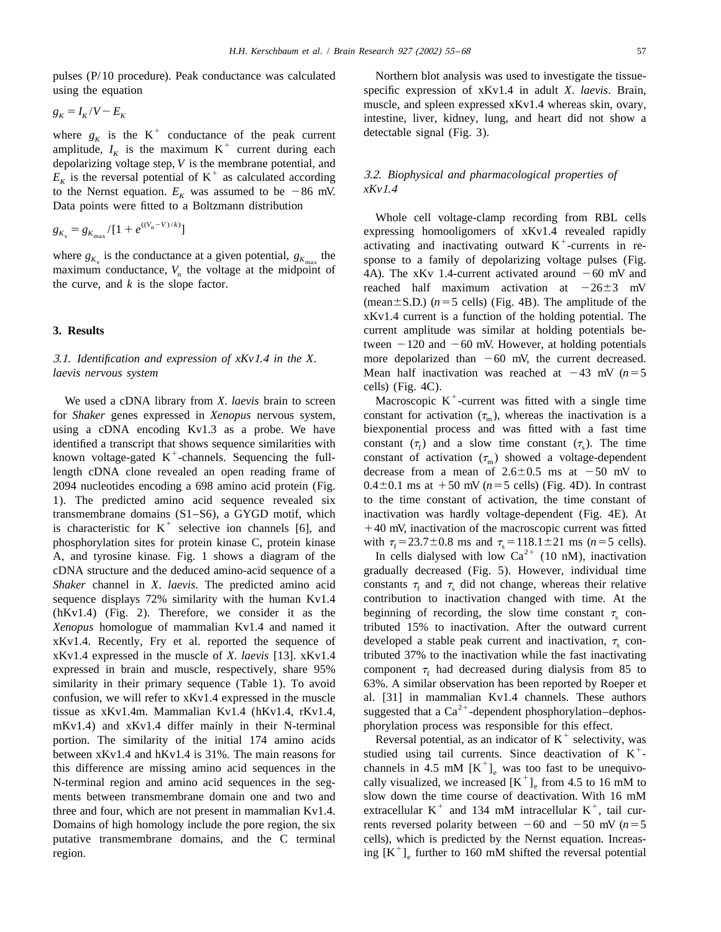using the equation specific expression of xKv1.4 in adult *X*. *laevis*. Brain,

$$
g_K = I_K/V - E_K
$$

where  $g_K$  is the K<sup>+</sup> conductance of the peak current *detectable signal* (Fig. 3).<br>amplitude,  $I_K$  is the maximum K<sup>+</sup> current during each depolarizing voltage step, *V* is the membrane potential, and  $E_K$  is the reversal potential of K<sup>+</sup> as calculated according  $\frac{3.2. \text{ Biophysical and pharmacological properties of}}{xKv1.4}$ to the Nernst equation.  $E_K$  was assumed to be -86 mV. Data points were fitted to a Boltzmann distribution

$$
g_{K_v} = g_{K_{\text{max}}}/[1 + e^{((V_{\text{n}} - V)/k)}]
$$

for *Shaker* genes expressed in *Xenopus* nervous system, constant for activation  $(\tau_m)$ , whereas the inactivation is a using a cDNA encoding Kv1.3 as a probe. We have biexponential process and was fitted with a fast time identified a transcript that shows sequence similarities with constant  $(\tau_f)$  and a slow time constant  $(\tau_s)$ . The time<br>known voltage-gated K<sup>+</sup>-channels. Sequencing the full-<br>constant of activation  $(\tau_m)$  showed a voltag length cDNA clone revealed an open reading frame of decrease from a mean of  $2.6\pm0.5$  ms at  $-50$  mV to 2094 nucleotides encoding a 698 amino acid protein (Fig.  $0.4 \pm 0.1$  ms at  $+50$  mV ( $n=5$  cells) (Fig. 4D). In contrast 1). The predicted amino acid sequence revealed six to the time constant of activation, the time constant of transmembrane domains (S1–S6), a GYGD motif, which inactivation was hardly voltage-dependent (Fig. 4E). At is characteristic for K<sup>+</sup> selective ion channels [6], and  $+40$  mV, inactivation of the macroscopic current was f phosphorylation sites for protein kinase C, protein kinase with  $\tau_{\rm f} = 23.7 \pm 0.8$  ms and  $\tau_{\rm s} = 118.1 \pm 21$  ms ( $n = 5$  cells).<br>A, and tyrosine kinase. Fig. 1 shows a diagram of the In cells dialysed with low Ca<sup>2+</sup> cDNA structure and the deduced amino-acid sequence of a gradually decreased (Fig. 5). However, individual time *Shaker* channel in *X*. *laevis*. The predicted amino acid constants  $\tau_f$  and  $\tau_s$  did not change, whereas their relative sequence displays 72% similarity with the human Kv1.4 contribution to inactivation changed with time. At the (hKv1.4) (Fig. 2). Therefore, we consider it as the beginning of recording, the slow time constant  $\tau_s$  con-*Xenopus* homologue of mammalian Kv1.4 and named it tributed 15% to inactivation. After the outward current xKv1.4. Recently, Fry et al. reported the sequence of developed a stable peak current and inactivation,  $\tau_s$  conxKv1.4 expressed in the muscle of *X*. *laevis* [13]. xKv1.4 tributed 37% to the inactivation while the fast inactivating expressed in brain and muscle, respectively, share 95% component  $\tau_f$  had decreased during dialysis from 85 to similarity in their primary sequence (Table 1). To avoid 63%. A similar observation has been reported by Roeper et confusion, we will refer to xKv1.4 expressed in the muscle al. [31] in mammalian Kv1.4 channels. These authors tissue as xKv1.4m. Mammalian Kv1.4 (hKv1.4, rKv1.4, suggested that a Ca<sup>2+</sup>-dependent phosphorylation–dephosmKv1.4) and xKv1.4 differ mainly in their N-terminal<br>portion. The similarity of the initial 174 amino acids<br>between xKv1.4 and hKv1.4 is 31%. The main reasons for<br>this difference are missing amino acid sequences in the ch ments between transmembrane domain one and two and slow down the time course of deactivation. With 16 mM three and four, which are not present in mammalian Kv1.4. extracellular K<sup>+</sup> and 134 mM intracellular K<sup>+</sup>, tail cur Domains of high homology include the pore region, the six rents reversed polarity between  $-60$  and  $-50$  mV ( $n=5$ ) putative transmembrane domains, and the C terminal cells), which is predicted by the Nernst equation. Increas-<br>region.  $\frac{1}{2}$  further to 160 mM shifted the reversal potential

pulses (P/10 procedure). Peak conductance was calculated Northern blot analysis was used to investigate the tissuemuscle, and spleen expressed xKv1.4 whereas skin, ovary, intestine, liver, kidney, lung, and heart did not show a

 $g_{K_v} = g_{K_{\text{max}}}/[1 + e^{((V_n - V)/k)}]$ <br>
whole cell voltage-clamp recording from RBL cells<br>
expressing homooligomers of xKv1.4 revealed rapidly<br>
activating and inactivating outward K<sup>+</sup>-currents in re-<br>
maximum conductance,  $V_n$ reached half maximum activation at  $-26\pm 3$  mV (mean $\pm$ S.D.) ( $n=5$  cells) (Fig. 4B). The amplitude of the xKv1.4 current is a function of the holding potential. The **3. Results 3. Results current** amplitude was similar at holding potentials between  $-120$  and  $-60$  mV. However, at holding potentials 3.1. *Identification and expression of xKv*1.4 *in the X*. more depolarized than 260 mV, the current decreased. *laevis nervous system* Mean half inactivation was reached at  $-43$  mV (*n*=5

cells) (Fig. 4C).<br>We used a cDNA library from *X*. *laevis* brain to screen Macroscopic K<sup>+</sup>-current was fitted with a single time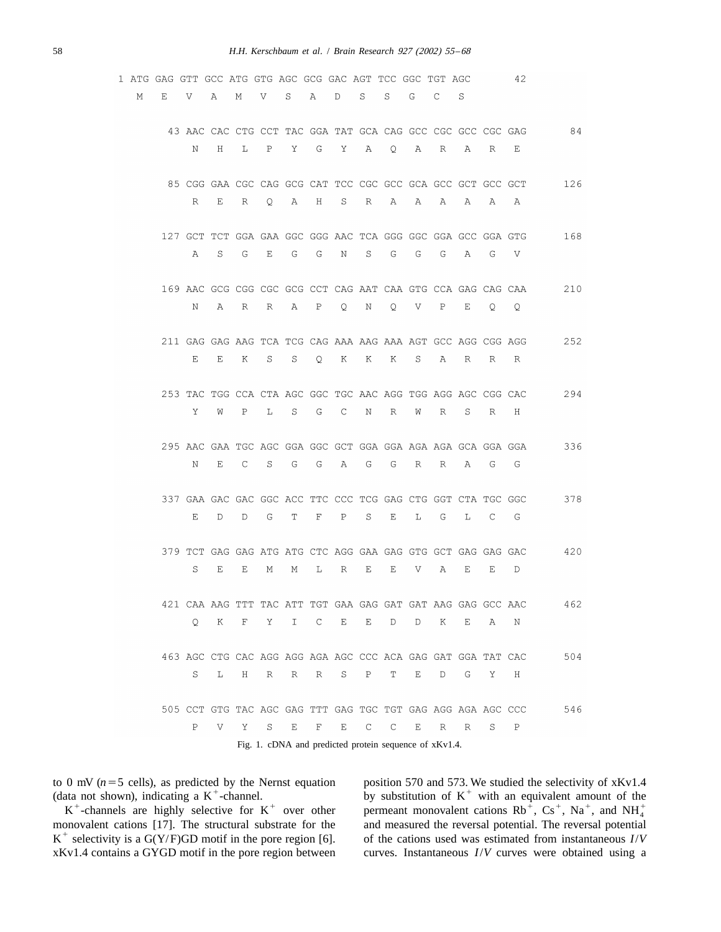|   | 1 ATG GAG GTT GCC ATG GTG AGC GCG GAC AGT TCC GGC TGT AGC |                                                                             |   |              |                                                        |   |              |              |   |                |         |              |             |         | 42       |     |
|---|-----------------------------------------------------------|-----------------------------------------------------------------------------|---|--------------|--------------------------------------------------------|---|--------------|--------------|---|----------------|---------|--------------|-------------|---------|----------|-----|
| М | Е                                                         | V                                                                           | Α | М            | V                                                      | S | $\mathbb{A}$ | D            | S | S.             | G       | C            | S           |         |          |     |
|   |                                                           | 43 AAC CAC CTG CCT TAC GGA TAT GCA CAG GCC CGC GCC CGC GAG                  |   |              |                                                        |   |              |              |   |                |         |              |             |         |          | 84  |
|   |                                                           | Ν                                                                           | H | L            | $\mathbf{P}$                                           | Y | G            | Y            | A | $\mathsf{Q}$   | A       | R            | Α           | R       | Е        |     |
|   |                                                           | 85 CGG GAA CGC CAG GCG CAT TCC CGC GCC GCA GCC GCT GCC GCT                  |   |              |                                                        |   |              |              |   |                |         |              |             |         |          | 126 |
|   |                                                           | R                                                                           | Е | R            | Q.                                                     | Α | H            | S            | R | А              | А       | А            | Α           | Α       | Α        |     |
|   |                                                           | 127 GCT TCT GGA GAA GGC GGG AAC TCA GGG GGC GGA GCC GGA GTG                 |   |              |                                                        |   |              |              |   |                |         |              |             |         |          | 168 |
|   |                                                           | Α                                                                           | S | G            | Е                                                      | G | G            | Ν            | S | G              | G       | G            | А           | G       | V        |     |
|   |                                                           | 169 AAC GCG CGG CGC GCG CCT CAG AAT CAA GTG CCA GAG CAG CAA                 |   |              |                                                        |   |              |              |   |                |         |              |             |         |          | 210 |
|   |                                                           | N                                                                           | Α | R            | R                                                      | Α | $\mathbb{P}$ | Q            | Ν | $\overline{Q}$ | V       | $\mathbb{P}$ | Е           | $\circ$ | Q        |     |
|   |                                                           | 211 GAG GAG AAG TCA TCG CAG AAA AAG AAA AGT GCC AGG CGG AGG                 |   |              |                                                        |   |              |              |   |                |         |              |             |         |          | 252 |
|   |                                                           | E.                                                                          | Е | K            | S                                                      | S | $Q_{\cdot}$  | K            | K | Κ              | $S_{-}$ | Α            | R           | R       | R        |     |
|   |                                                           | 253 TAC TGG CCA CTA AGC GGC TGC AAC AGG TGG AGG AGC CGG CAC                 |   |              |                                                        |   |              |              |   |                |         |              |             |         |          | 294 |
|   |                                                           | Υ                                                                           | W | $\, {\bf P}$ | L                                                      | S | G            | C            | N | R              | W       | R            | S.          | R       | Η        |     |
|   |                                                           | 295 AAC GAA TGC AGC GGA GGC GCT GGA GGA AGA AGA GCA GGA GGA                 |   |              |                                                        |   |              |              |   |                |         |              |             |         |          | 336 |
|   |                                                           | Ν                                                                           | Ε | C            | S                                                      | G | G            | А            | G | G              | R       | R            | Α           | G       | G        |     |
|   |                                                           | 337 GAA GAC GAC GGC ACC TTC CCC TCG GAG CTG GGT CTA TGC GGC                 |   |              |                                                        |   |              |              |   |                |         |              |             |         |          | 378 |
|   |                                                           | E                                                                           | D | D            | G                                                      | Т | $\mathbf{F}$ | $\mathbf{P}$ | S | Е              | L       | G            | L           | C       | G        |     |
|   |                                                           | 379 TCT GAG GAG ATG ATG CTC AGG GAA GAG GTG GCT GAG GAG GAC<br>S            | Ε | Ε            | М                                                      | М | L            | R            | Е | Е              | V       | Α            | Е           | Е       | D        | 420 |
|   |                                                           |                                                                             |   |              |                                                        |   |              |              |   |                |         |              |             |         |          |     |
|   |                                                           | 421 CAA AAG TTT TAC ATT TGT GAA GAG GAT GAT AAG GAG GCC<br>$\circ$          | K | F            | Y.                                                     | I | C            | Е            | Е | D              | D       | Κ            | Е           | Α       | AAC<br>Ν | 462 |
|   |                                                           |                                                                             |   |              |                                                        |   |              |              |   |                |         |              |             |         |          |     |
|   |                                                           | 463 AGC CTG CAC AGG AGG AGA AGC CCC ACA GAG GAT GGA TAT CAC<br>S            | L | Η            | R                                                      | R | R            | S            | Ρ | Т              | Ε       | D            | G           | Υ       | Η        | 504 |
|   |                                                           |                                                                             |   |              |                                                        |   |              |              |   |                |         |              |             |         |          |     |
|   |                                                           | 505 CCT GTG TAC AGC GAG TTT GAG TGC TGT GAG AGG AGA AGC CCC<br>$\, {\bf P}$ | V | Υ            | S                                                      | E | F            | E            | С | C              | Ε       | R            | $\mathbb R$ | S       | Ρ        | 546 |
|   |                                                           |                                                                             |   |              | Fig. 1. cDNA and predicted protein sequence of xKv1.4. |   |              |              |   |                |         |              |             |         |          |     |

to 0 mV ( $n=5$  cells), as predicted by the Nernst equation<br>
(data not shown), indicating a K<sup>+</sup>-channel.<br>
K<sup>+</sup>-channels are highly selective for K<sup>+</sup> over other<br>
monovalent cations Rb<sup>+</sup>, Cs<sup>+</sup>, Na<sup>+</sup>, and NH<sub>4</sub><sup>+</sup><br>
monov  $K^+$  selectivity is a G(Y/F)GD motif in the pore region [6]. of the cations used was estimated from instantaneous  $I/V$ xKv1.4 contains a GYGD motif in the pore region between curves. Instantaneous *I*/*V* curves were obtained using a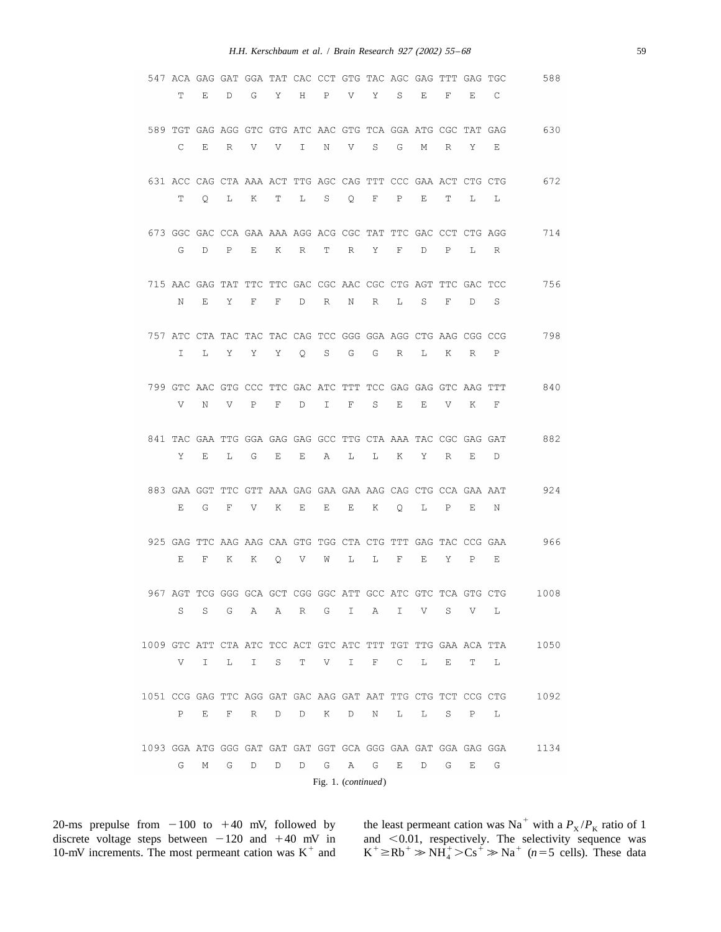|                                                              |    |    |              |             |     |   |              |                     |   | 547 ACA GAG GAT GGA TAT CAC CCT GTG TAC AGC GAG TTT GAG TGC      |     |   |              |              | 588  |
|--------------------------------------------------------------|----|----|--------------|-------------|-----|---|--------------|---------------------|---|------------------------------------------------------------------|-----|---|--------------|--------------|------|
|                                                              | Т  | Ε  | D            | G           | Υ   | Η | $_{\rm P}$   | V                   | Υ | S                                                                | Е   | F | Ε            | С            |      |
|                                                              |    |    |              |             |     |   |              |                     |   | 589 TGT GAG AGG GTC GTG ATC AAC GTG TCA GGA ATG CGC TAT GAG      |     |   |              |              | 630  |
|                                                              | C  | Ε  | R            | V           | V   | I | Ν            | V                   | S | G                                                                | М   | R | Υ            | Ε            |      |
|                                                              |    |    |              |             |     |   |              |                     |   |                                                                  |     |   |              |              |      |
|                                                              | Т  | Q  | L            | К           | Т   | L | S            | Q                   | F | 631 ACC CAG CTA AAA ACT TTG AGC CAG TTT CCC GAA ACT CTG CTG<br>P | Е   | Т | L            | L            | 672  |
|                                                              |    |    |              |             |     |   |              |                     |   |                                                                  |     |   |              |              |      |
|                                                              |    |    |              |             |     |   |              |                     |   | 673 GGC GAC CCA GAA AAA AGG ACG CGC TAT TTC GAC CCT CTG AGG      |     |   |              |              | 714  |
|                                                              | G  | D  | $\, {\bf P}$ | Е           | Κ   | R | Т            | R                   | Υ | F                                                                | D   | Ρ | L            | R            |      |
|                                                              |    |    |              |             |     |   |              |                     |   | 715 AAC GAG TAT TTC TTC GAC CGC AAC CGC CTG AGT TTC GAC TCC      |     |   |              |              | 756  |
|                                                              | N  | Е  | Υ            | $\mathbf F$ | F   | D | $\mathbb{R}$ | N                   | R | L                                                                | S   | F | D            | S            |      |
|                                                              |    |    |              |             |     |   |              |                     |   |                                                                  |     |   |              |              |      |
|                                                              | I. | L  | Υ            | Υ           | Y O |   | $\mathbb{S}$ | $G$ $G$             |   | 757 ATC CTA TAC TAC TAC CAG TCC GGG GGA AGG CTG AAG CGG CCG<br>R | L   | K | $\mathbb{R}$ | $\mathbf{P}$ | 798  |
|                                                              |    |    |              |             |     |   |              |                     |   |                                                                  |     |   |              |              |      |
|                                                              |    |    |              |             |     |   |              |                     |   | 799 GTC AAC GTG CCC TTC GAC ATC TTT TCC GAG GAG GTC AAG TTT      |     |   |              |              | 840  |
|                                                              | V  | N  | V            | Ρ           | F   | D | I.           | F                   | S | Е                                                                | Е   | V | Κ            | F            |      |
|                                                              |    |    |              |             |     |   |              |                     |   | 841 TAC GAA TTG GGA GAG GAG GCC TTG CTA AAA TAC CGC GAG GAT      |     |   |              |              | 882  |
|                                                              | Υ  | Е  | L            | G           | Е   | E | А            | L                   | L | Κ                                                                | Υ   | R | Е            | D            |      |
|                                                              |    |    |              |             |     |   |              |                     |   | 883 GAA GGT TTC GTT AAA GAG GAA GAA AAG CAG CTG CCA GAA AAT      |     |   |              |              | 924  |
|                                                              | Е  | G  | F            | V           | Κ   | Е | Е            | Е                   | K | $\circ$                                                          | L   | Ρ | Е            | N            |      |
|                                                              |    |    |              |             |     |   |              |                     |   |                                                                  |     |   |              |              |      |
|                                                              |    |    |              |             |     |   |              |                     |   | 925 GAG TTC AAG AAG CAA GTG TGG CTA CTG TTT GAG TAC CCG GAA      |     |   |              |              | 966  |
|                                                              | Е  | F  | Κ            | Κ           | Q   | V | W            | L                   | L | F                                                                | Ε   | Υ | P            | Ε            |      |
|                                                              |    |    |              |             |     |   |              |                     |   | 967 AGT TCG GGG GCA GCT CGG GGC ATT GCC ATC GTC TCA GTG CTG      |     |   |              |              | 1008 |
|                                                              | S  | S. | G            | Α           | Α   |   |              | R G I               | A | I                                                                | V — | S | V.           | L            |      |
| 1009 GTC ATT CTA ATC TCC ACT GTC ATC TTT TGT TTG GAA ACA TTA |    |    |              |             |     |   |              |                     |   |                                                                  |     |   |              |              | 1050 |
|                                                              | V  | I  | L            | I           | S   | Т | V            | I.                  | F | C                                                                | L   | Ε | Т            | L            |      |
|                                                              |    |    |              |             |     |   |              |                     |   |                                                                  |     |   |              |              |      |
| 1051 CCG GAG TTC AGG GAT GAC AAG GAT AAT TTG CTG TCT CCG CTG |    |    |              |             |     |   |              |                     |   |                                                                  |     |   |              |              | 1092 |
|                                                              | Ρ  | Ε  | F            | R           | D   | D | K            | D                   | N | L                                                                | L   | S | $\mathbb{P}$ | L            |      |
| 1093 GGA ATG GGG GAT GAT GAT GGT GCA GGG GAA GAT GGA GAG GGA |    |    |              |             |     |   |              |                     |   |                                                                  |     |   |              |              | 1134 |
|                                                              | G  | М  | G            | D           | D   | D | G            | A                   | G | Ε                                                                | D   | G | Ε            | G            |      |
|                                                              |    |    |              |             |     |   |              | Fig. 1. (continued) |   |                                                                  |     |   |              |              |      |

20-ms prepulse from  $-100$  to  $+40$  mV, followed by the least permeant cation was Na<sup>+</sup> with a  $P_X / P_K$  ratio of 1

discrete voltage steps between -120 and +40 mV in and <0.01, respectively. The selectivity sequence was 10-mV increments. The most permeant cation was K<sup>+</sup> and  $K^+ \ge Rb^+ \gg NH_4^+ > Cs^+ \gg Na^+$  (*n*=5 cells). These data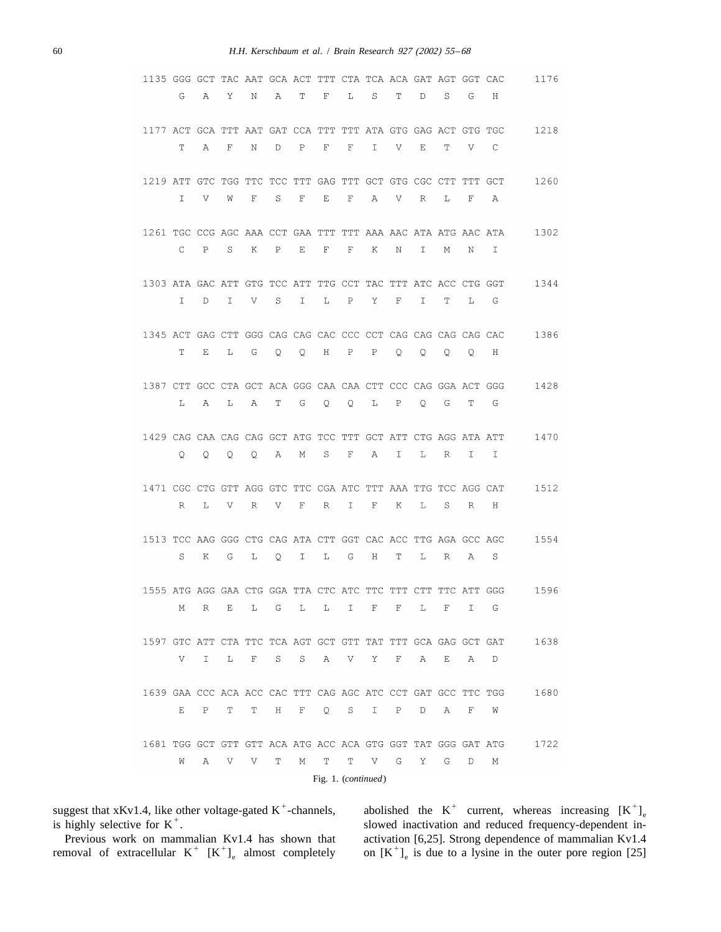| 1135 GGG GCT TAC AAT GCA ACT TTT CTA TCA ACA GAT AGT GGT CAC |   |              |   |   |   |   |                     |             |   |   |    |   |   |   | 1176 |
|--------------------------------------------------------------|---|--------------|---|---|---|---|---------------------|-------------|---|---|----|---|---|---|------|
|                                                              | G | Α            | Υ | Ν | Α | Т | F                   | L           | S | Т | D  | S | G | Н |      |
|                                                              |   |              |   |   |   |   |                     |             |   |   |    |   |   |   |      |
| 1177 ACT GCA TTT AAT GAT CCA TTT TTT ATA GTG GAG ACT GTG TGC |   |              |   |   |   |   |                     |             |   |   |    |   |   |   | 1218 |
|                                                              | Т | Α            | F | Ν | D | P | F                   | F           | I | V | Ε  | т | V | C |      |
|                                                              |   |              |   |   |   |   |                     |             |   |   |    |   |   |   |      |
| 1219 ATT GTC TGG TTC TCC TTT GAG TTT GCT GTG CGC CTT TTT GCT |   |              |   |   |   |   |                     |             |   |   |    |   |   |   | 1260 |
|                                                              | I | V            | W | F | S | F | Ε                   | $\mathbf F$ | Α | V | R  | L | F | Α |      |
| 1261 TGC CCG AGC AAA CCT GAA TTT TTT AAA AAC ATA ATG AAC ATA |   |              |   |   |   |   |                     |             |   |   |    |   |   |   | 1302 |
|                                                              | C | P            | S | Κ | P | Ε | F                   | F           | Κ | Ν | I  | М | Ν | I |      |
|                                                              |   |              |   |   |   |   |                     |             |   |   |    |   |   |   |      |
| 1303 ATA GAC ATT GTG TCC ATT TTG CCT TAC TTT ATC ACC CTG GGT |   |              |   |   |   |   |                     |             |   |   |    |   |   |   | 1344 |
|                                                              | I | D            | Ι | V | S | I | L                   | Ρ           | Υ | F | I. | Т | L | G |      |
|                                                              |   |              |   |   |   |   |                     |             |   |   |    |   |   |   |      |
| 1345 ACT GAG CTT GGG CAG CAG CAC CCC CCT CAG CAG CAG CAG CAC |   |              |   |   |   |   |                     |             |   |   |    |   |   |   | 1386 |
|                                                              | Т | Е            | L | G | Q | Q | Η                   | Ρ           | P | Q | Q  | Q | Q | Η |      |
|                                                              |   |              |   |   |   |   |                     |             |   |   |    |   |   |   |      |
| 1387 CTT GCC CTA GCT ACA GGG CAA CAA CTT CCC CAG GGA ACT GGG |   |              |   |   |   |   |                     |             |   |   |    |   |   |   | 1428 |
|                                                              | L | Α            | L | Α | Т | G | Q                   | Q           | L | Ρ | Q  | G | Т | G |      |
| 1429 CAG CAA CAG CAG GCT ATG TCC TTT GCT ATT CTG AGG ATA ATT |   |              |   |   |   |   |                     |             |   |   |    |   |   |   | 1470 |
|                                                              | Q | Q            | Q | Q | Α | Μ | S                   | F           | Α | I | L  | R | I | I |      |
|                                                              |   |              |   |   |   |   |                     |             |   |   |    |   |   |   |      |
| 1471 CGC CTG GTT AGG GTC TTC CGA ATC TTT AAA TTG TCC AGG CAT |   |              |   |   |   |   |                     |             |   |   |    |   |   |   | 1512 |
|                                                              | R | L            | V | R | V | F | R                   | I           | F | Κ | L  | S | R | Η |      |
|                                                              |   |              |   |   |   |   |                     |             |   |   |    |   |   |   |      |
| 1513 TCC AAG GGG CTG CAG ATA CTT GGT CAC ACC TTG AGA GCC AGC |   |              |   |   |   |   |                     |             |   |   |    |   |   |   | 1554 |
|                                                              | S | Κ            | G | L | Q | I | L                   | G           | Η | Т | L  | R | Α | S |      |
|                                                              |   |              |   |   |   |   |                     |             |   |   |    |   |   |   |      |
| 1555 ATG AGG GAA CTG GGA TTA CTC ATC TTC TTT CTT TTC ATT GGG |   |              |   |   |   |   |                     |             |   |   |    |   |   |   | 1596 |
|                                                              | Μ | R            | Ε | L | G | L | L                   | I           | F | F | L  | F | I | G |      |
| 1597 GTC ATT CTA TTC TCA AGT GCT GTT TAT TTT GCA GAG GCT GAT |   |              |   |   |   |   |                     |             |   |   |    |   |   |   | 1638 |
|                                                              | V | I.           | L | F | S | S | Α                   | V           | Υ | F | Α  | Е | Α | D |      |
|                                                              |   |              |   |   |   |   |                     |             |   |   |    |   |   |   |      |
| 1639 GAA CCC ACA ACC CAC TTT CAG AGC ATC CCT GAT GCC TTC TGG |   |              |   |   |   |   |                     |             |   |   |    |   |   |   | 1680 |
|                                                              | Ε | $\, {\bf P}$ | Т | Т | Η | F | $\mathsf{Q}$        | S           | I | Ρ | D  | Α | F | W |      |
|                                                              |   |              |   |   |   |   |                     |             |   |   |    |   |   |   |      |
| 1681 TGG GCT GTT GTT ACA ATG ACC ACA GTG GGT TAT GGG GAT ATG |   |              |   |   |   |   |                     |             |   |   |    |   |   |   | 1722 |
|                                                              | W | Α            | V | V | Т | М | Т                   | Т           | V | G | Υ  | G | D | М |      |
|                                                              |   |              |   |   |   |   | Fig. 1. (continued) |             |   |   |    |   |   |   |      |

suggest that xKv1.4, like other voltage-gated K<sup>+</sup>-channels, abolished the K<sup>+</sup> current, whereas increasing  $[K^+]_e$  is highly selective for K<sup>+</sup>. Previous work on mammalian Kv1.4 has shown that activation [6,25]. Strong dependence of mammalian Kv1.4 removal of extracellular  $K^+$  [K<sup>+</sup>]<sub>e</sub> almost completely on [K<sup>+</sup>]<sub>e</sub> is due to a lysine in the outer pore region [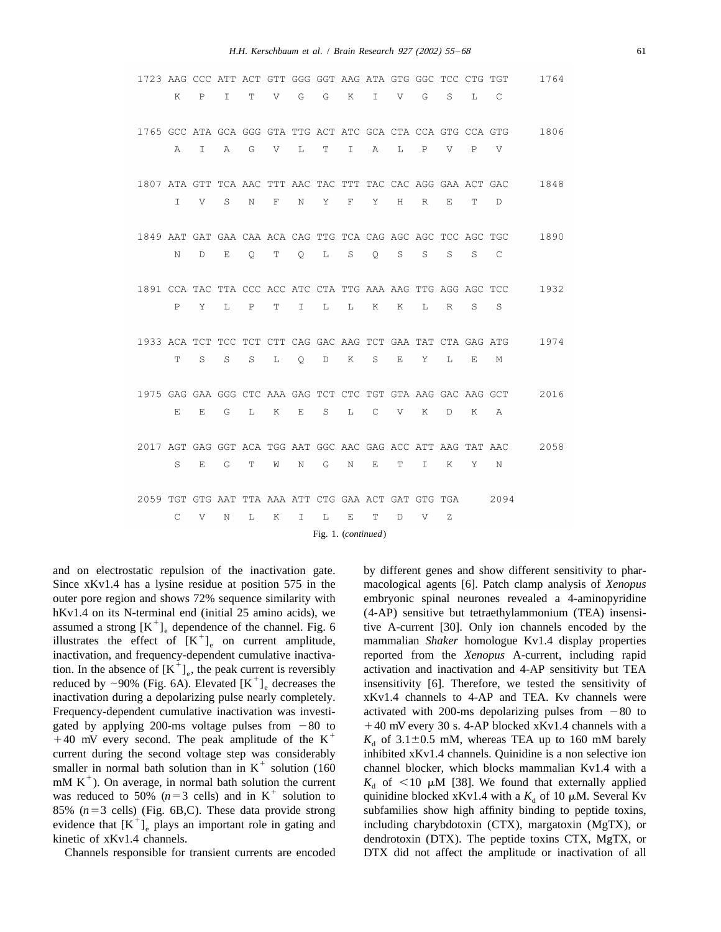| 1723 AAG CCC ATT ACT GTT GGG GGT AAG ATA GTG GGC TCC CTG TGT |    |               |             |   |             |              |             |                     |              |   |               |   |              |      | 1764 |
|--------------------------------------------------------------|----|---------------|-------------|---|-------------|--------------|-------------|---------------------|--------------|---|---------------|---|--------------|------|------|
|                                                              | K  | P             | I           | Т | V           | G            | G           | К                   | I            | V | G             | S | L            | C    |      |
| 1765 GCC ATA GCA GGG GTA TTG ACT ATC GCA CTA CCA GTG CCA GTG |    |               |             |   |             |              |             |                     |              |   |               |   |              |      | 1806 |
|                                                              | Α  | $\mathbbm{I}$ | Α           | G | V           | $\mathbb L$  | $\mathbf T$ | I                   | Α            | L | $\, {\bf P}$  | V | $\mathbf{P}$ | V    |      |
| 1807 ATA GTT TCA AAC TTT AAC TAC TTT TAC CAC AGG GAA ACT GAC |    |               |             |   |             |              |             |                     |              |   |               |   |              |      | 1848 |
|                                                              | T. | V             | S           | Ν | $\mathbf F$ | Ν            | Υ           | $\mathbf F$         | Υ            | Η | R             | E | Т            | D    |      |
| 1849 AAT GAT GAA CAA ACA CAG TTG TCA CAG AGC AGC TCC AGC TGC |    |               |             |   |             |              |             |                     |              |   |               |   |              |      | 1890 |
|                                                              | N  | D             | E           | O | $\mathbf T$ | $\mathsf{Q}$ | L           | S                   | $\mathsf{Q}$ | S | S             | S | S            | C    |      |
| 1891 CCA TAC TTA CCC ACC ATC CTA TTG AAA AAG TTG AGG AGC TCC |    |               |             |   |             |              |             |                     |              |   |               |   |              |      | 1932 |
|                                                              | P  | Υ             | L           | P | T           | I            | L           | L                   | Κ            | К | Ŀ             | R | S            | S    |      |
| 1933 ACA TCT TCC TCT CTT CAG GAC AAG TCT GAA TAT CTA GAG ATG |    |               |             |   |             |              |             |                     |              |   |               |   |              |      | 1974 |
|                                                              | T  | S             | S           | S | L           | $\mathsf{Q}$ | $\mathbb D$ | Κ                   | S            | Ε | Υ             | L | Ε            | М    |      |
| 1975 GAG GAA GGG CTC AAA GAG TCT CTC TGT GTA AAG GAC AAG GCT |    |               |             |   |             |              |             |                     |              |   |               |   |              |      | 2016 |
|                                                              | E  | Ε             | G           | L | Κ           | $\mathbf E$  | $\rm S$     | L                   | C            | V | Κ             | D | K            | Α    |      |
| 2017 AGT GAG GGT ACA TGG AAT GGC AAC GAG ACC ATT AAG TAT AAC |    |               |             |   |             |              |             |                     |              |   |               |   |              |      | 2058 |
|                                                              | S  | Ε             | G           | Т | W           | Ν            | G           | Ν                   | Ε            | Т | $\mathbbm{1}$ | Κ | Υ            | N    |      |
| 2059 TGT GTG AAT TTA AAA ATT CTG GAA ACT GAT GTG TGA         |    |               |             |   |             |              |             |                     |              |   |               |   |              | 2094 |      |
|                                                              | C  | V             | $\mathbb N$ | L | Κ           | I.           | L           | $\mathbf E$         | Т            | D | V             | Ζ |              |      |      |
|                                                              |    |               |             |   |             |              |             | Fig. 1. (continued) |              |   |               |   |              |      |      |

Channels responsible for transient currents are encoded DTX did not affect the amplitude or inactivation of all

and on electrostatic repulsion of the inactivation gate. by different genes and show different sensitivity to phar-Since xKv1.4 has a lysine residue at position 575 in the macological agents [6]. Patch clamp analysis of *Xenopus* outer pore region and shows 72% sequence similarity with embryonic spinal neurones revealed a 4-aminopyridine hKv1.4 on its N-terminal end (initial 25 amino acids), we (4-AP) sensitive but tetraethylammonium (TEA) insensi-<br>assumed a strong  $[K^+]_e$  dependence of the channel. Fig. 6 ive A-current [30]. Only ion channels encoded by inactivation, and frequency-dependent cumulative inactiva-<br>tion. In the absence of  $[K^+]_e$ , the peak current is reversibly<br>reduced by ~90% (Fig. 6A). Elevated  $[K^+]_e$  decreases the<br>insensitivity [6]. Therefore, we tested inactivation during a depolarizing pulse nearly completely. xKv1.4 channels to 4-AP and TEA. Kv channels were Frequency-dependent cumulative inactivation was investi-<br>activated with 200-ms depolarizing pulses from  $-80$  to gated by applying 200-ms voltage pulses from  $-80$  to  $+40$  mV every 30 s. 4-AP blocked xKv1.4 channels with a  $+40$  mV every second. The peak amplitude of the K<sup>+</sup>  $K_d$  of 3.1±0.5 mM, whereas TEA up to 160 mM barely current during the second voltage step was considerably<br>smaller in normal bath solution than in K<sup>+</sup> solution (160<br>mM K<sup>+</sup>). On average, in normal bath solution the current<br>was reduced to 50% ( $n=3$  cells) and in K<sup>+</sup> sol 85% ( $n=3$  cells) (Fig. 6B,C). These data provide strong subfamilies show high affinity binding to peptide toxins, evidence that  $[K^+]_e$  plays an important role in gating and including charybdotoxin (CTX), margatoxin (MgT kinetic of xKv1.4 channels. dendrotoxin (DTX). The peptide toxins CTX, MgTX, or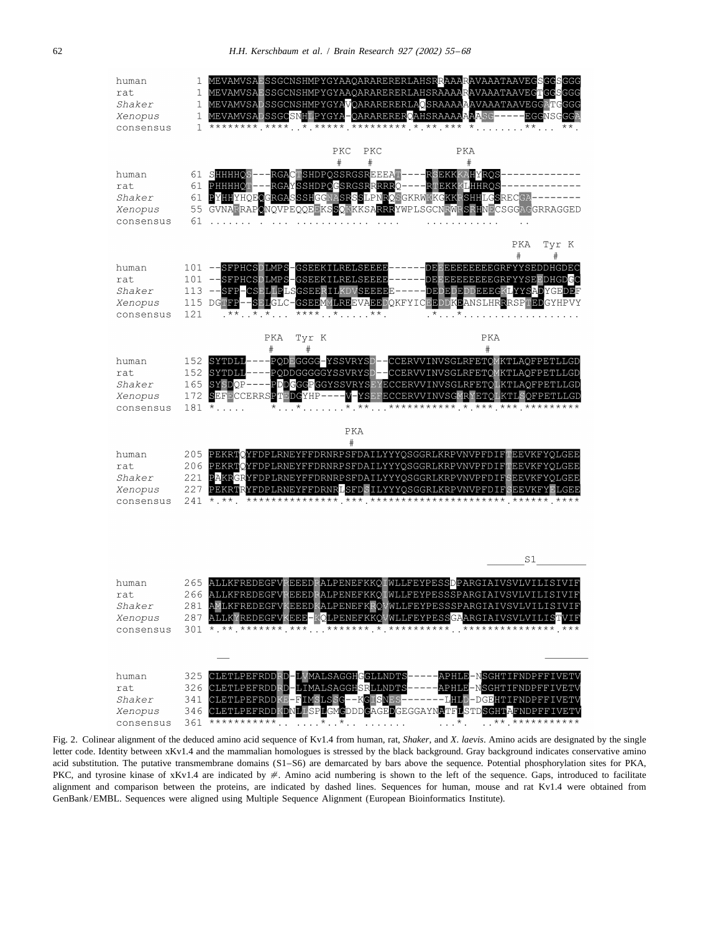

Fig. 2. Colinear alignment of the deduced amino acid sequence of Kv1.4 from human, rat, *Shaker*, and *X*. *laevis*. Amino acids are designated by the single letter code. Identity between xKv1.4 and the mammalian homologues is stressed by the black background. Gray background indicates conservative amino acid substitution. The putative transmembrane domains (S1–S6) are demarcated by bars above the sequence. Potential phosphorylation sites for PKA, PKC, and tyrosine kinase of xKv1.4 are indicated by #. Amino acid numbering is shown to the left of the sequence. Gaps, introduced to facilitate alignment and comparison between the proteins, are indicated by dashed lines. Sequences for human, mouse and rat Kv1.4 were obtained from GenBank/EMBL. Sequences were aligned using Multiple Sequence Alignment (European Bioinformatics Institute).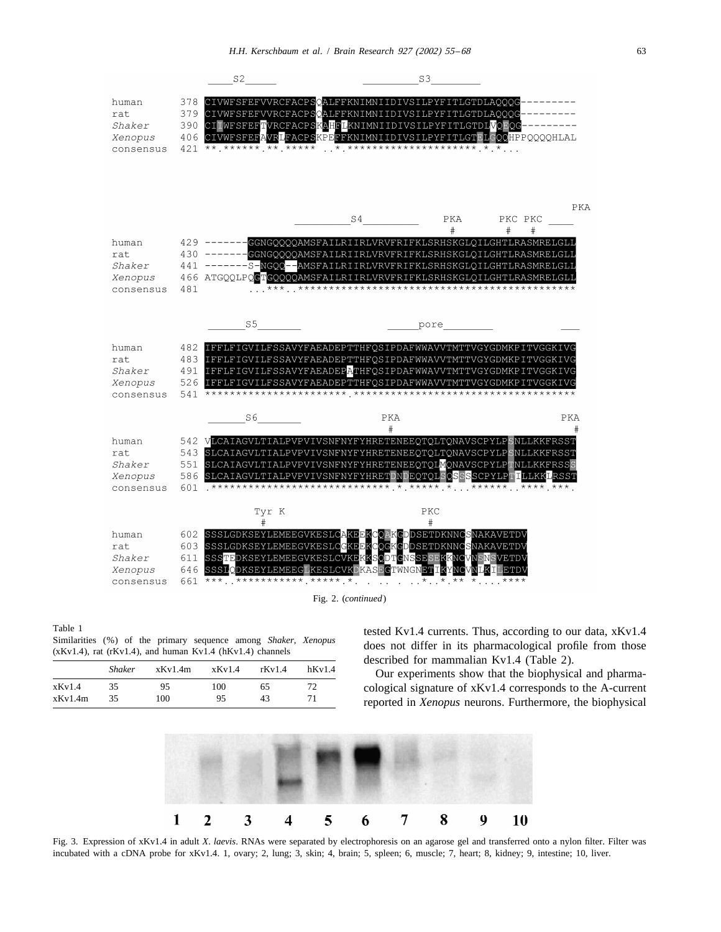



|         | <b>Shaker</b> | xKv1.4m | xKv1.4 | rkv1.4 | hKv1.4 |
|---------|---------------|---------|--------|--------|--------|
| xKv1.4  | 35            | 95      | 100    | 65     | 72.    |
| xKv1.4m | 35            | 100     | 95     | 43     |        |

Table 1<br>Similarities (%) of the primary sequence among *Shaker*, *Xenopus*<br>(xKv1.4), rat (rKv1.4), and human Kv1.4 (hKv1.4) channels<br>does not differ in its pharmacological profile from those<br>described for mammalian Kv1.4 (

Our experiments show that the biophysical and pharmacological signature of  $xKv1.4$  corresponds to the A-current reported in *Xenopus* neurons. Furthermore, the biophysical



Fig. 3. Expression of xKv1.4 in adult *X*. *laevis*. RNAs were separated by electrophoresis on an agarose gel and transferred onto a nylon filter. Filter was incubated with a cDNA probe for xKv1.4. 1, ovary; 2, lung; 3, skin; 4, brain; 5, spleen; 6, muscle; 7, heart; 8, kidney; 9, intestine; 10, liver.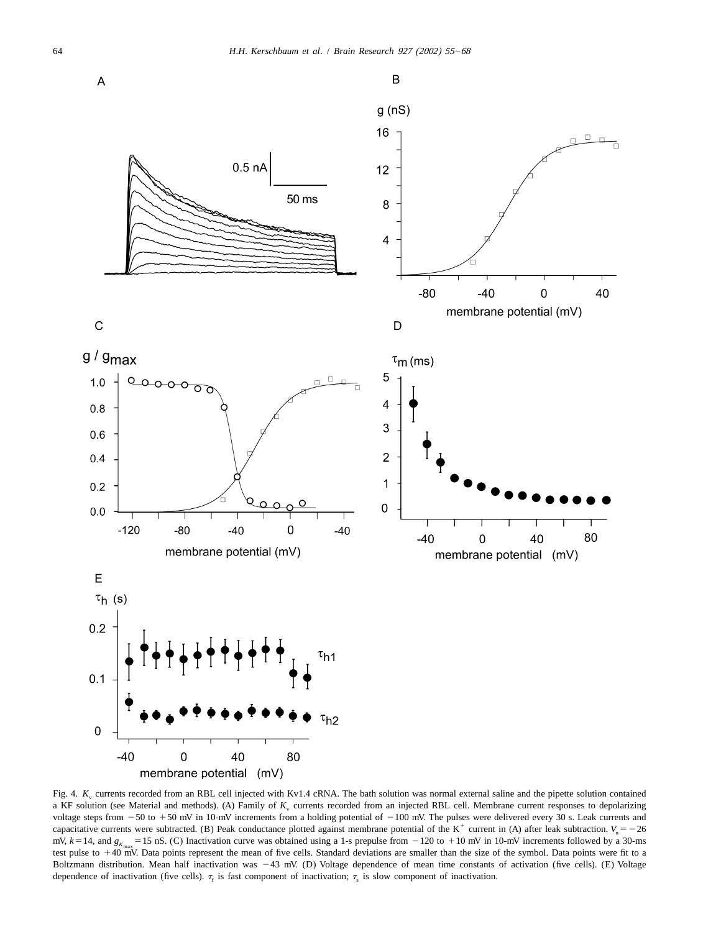

Fig. 4.  $K_v$  currents recorded from an RBL cell injected with Kv1.4 cRNA. The bath solution was normal external saline and the pipette solution contained a KF solution (see Material and methods). (A) Family of  $K_{\rm v}$  currents recorded from an injected RBL cell. Membrane current responses to depolarizing voltage steps from  $-50$  to  $+50$  mV in 10-mV increments from a holding potential of  $-100$  mV. The pulses were delivered every 30 s. Leak currents and capacitative currents were subtracted. (B) Peak conductance plotted against membrane potential of the K<sup>+</sup> current in (A) after leak subtraction.  $V_n = -26$ mV,  $k = 14$ , and  $g_{K_{\text{max}}} = 15$  nS. (C) Inactivation curve was obtained using a 1-s prepulse from  $-120$  to  $+10$  mV in 10-mV increments followed by a 30-ms test pulse to  $+40$  mV. Data points represent the mean of five cells. Standard deviations are smaller than the size of the symbol. Data points were fit to a Boltzmann distribution. Mean half inactivation was 243 mV. (D) Voltage dependence of mean time constants of activation (five cells). (E) Voltage dependence of inactivation (five cells).  $\tau_r$  is fast component of inactivation;  $\tau_s$  is slow component of inactivation.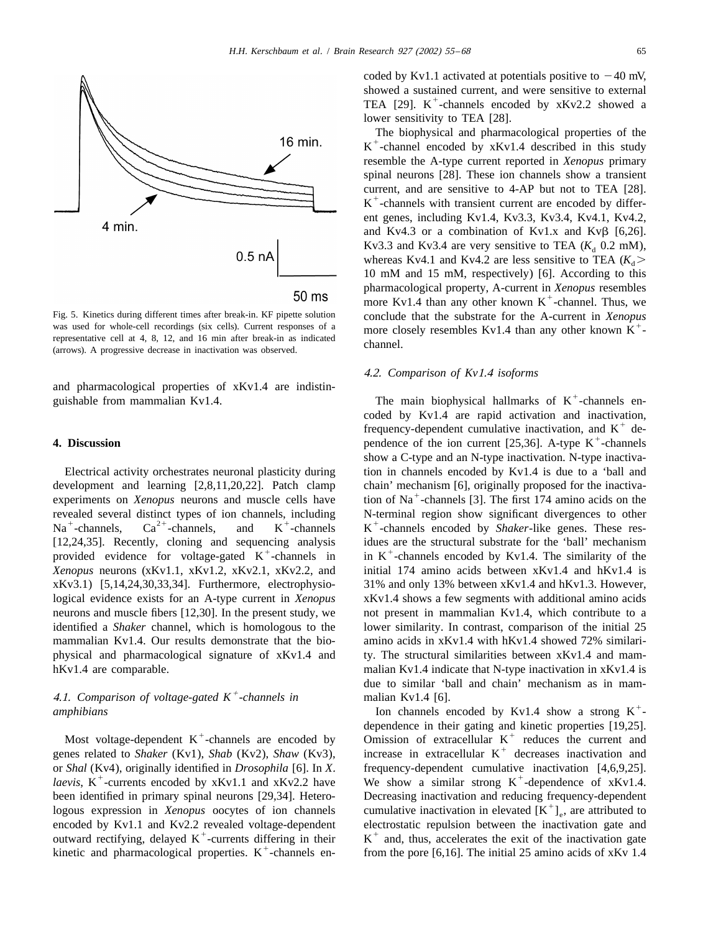

was used for whole-cell recordings (six cells). Current responses of a<br>representative cell at 4, 8, 12, and 16 min after break-in as indicated<br>(arrows). A progressive decrease in inactivation was observed.<br>channel.

and pharmacological properties of xKv1.4 are indistin-<br>guishable from mammalian Kv1.4. The main biophysical hallmarks of  $K^+$ -channels en-

development and learning  $[2,8,11,20,22]$ . Patch clamp chain' mechanism [6], originally proposed for the inactiva-<br>experiments on *Xenopus* neurons and muscle cells have tion of Na<sup>+</sup>-channels [3]. The first 174 amino aci revealed several distinct types of ion channels, including  $N$ -terminal region show significant divergences to other  $Na^+$ -channels,  $Ca^{2+}$ -channels, and  $K^+$ -channels  $K^+$ -channels encoded by *Shaker*-like genes. Thes [12,24,35]. Recently, cloning and sequencing analysis idues are the structural substrate for the 'ball' mechanism provided evidence for voltage-gated K  $^+$ -channels in in K  $^+$ -channels encoded by Kv1.4. The similarity *Xenopus* neurons (xKv1.1, xKv1.2, xKv2.1, xKv2.2, and initial 174 amino acids between xKv1.4 and hKv1.4 is xKv3.1) [5,14,24,30,33,34]. Furthermore, electrophysio- 31% and only 13% between xKv1.4 and hKv1.3. However, logical evidence exists for an A-type current in *Xenopus* xKv1.4 shows a few segments with additional amino acids neurons and muscle fibers [12,30]. In the present study, we not present in mammalian Kv1.4, which contribute to a identified a *Shaker* channel, which is homologous to the lower similarity. In contrast, comparison of the initial 25 mammalian Kv1.4. Our results demonstrate that the bio- amino acids in xKv1.4 with hKv1.4 showed 72% similariphysical and pharmacological signature of xKv1.4 and ty. The structural similarities between xKv1.4 and mamhKv1.4 are comparable. malian Kv1.4 indicate that N-type inactivation in xKv1.4 is

# 4.1. Comparison of voltage-gated  $K^+$ -channels in 4.1. *Comparison of voltage-gated*  $K^+$ -*channels in* malian Kv1.4 [6].<br>
1 Ion channels encoded by Kv1.4 show a strong K<sup>+</sup>-

or Shal (Kv4), originally identified in *Drosophila* [6]. In X. frequency-dependent cumulative inactivation [4,6,9,25].<br>laevis, K<sup>+</sup>-currents encoded by xKv1.1 and xKv2.2 have We show a similar strong K<sup>+</sup>-dependence of x been identified in primary spinal neurons [29,34]. Hetero-<br>logous expression in *Xenopus* oocytes of ion channels<br>eumulative inactivation in elevated  $[K^+]_e$ , are attributed to<br>encoded by Kv1.1 and Kv2.2 revealed voltageencoded by Kv1.1 and Kv2.2 revealed voltage-dependent electrostatic repulsion between the inactivation gate and outward rectifying, delayed K<sup>+</sup>-currents differing in their  $K^+$  and, thus, accelerates the exit of the ina

coded by Kv1.1 activated at potentials positive to  $-40$  mV, showed a sustained current, and were sensitive to external TEA [29].  $K^+$ -channels encoded by  $xKv2.2$  showed a lower sensitivity to TEA [28].

The biophysical and pharmacological properties of the  $K^+$ -channel encoded by x $Kv1.4$  described in this study resemble the A-type current reported in *Xenopus* primary spinal neurons [28]. These ion channels show a transient current, and are sensitive to 4-AP but not to TEA [28].  $K^+$ -channels with transient current are encoded by different genes, including Kv1.4, Kv3.3, Kv3.4, Kv4.1, Kv4.2, and Kv4.3 or a combination of Kv1.x and Kv $\beta$  [6,26]. Kv3.3 and Kv3.4 are very sensitive to TEA  $(K_d \ 0.2 \text{ mM})$ , whereas Kv4.1 and Kv4.2 are less sensitive to TEA  $(K_d >$ 10 mM and 15 mM, respectively) [6]. According to this pharmacological property, A-current in *Xenopus* resembles more Kv1.4 than any other known K<sup>+</sup>-channel. Thus, we Fig. 5. Kinetics during different times after break-in. KF pipette solution conclude that the substrate for the A-current in *Xenopus* was used for whole-cell recordings (six cells). Current responses of a more closely res

## 4.2. *Comparison of Kv*1.4 *isoforms*

coded by Kv1.4 are rapid activation and inactivation,<br>frequency-dependent cumulative inactivation, and K<sup>+</sup> dependence of the ion current [25,36]. A-type K<sup>+</sup>-channels show a C-type and an N-type inactivation. N-type inactiva-Electrical activity orchestrates neuronal plasticity during tion in channels encoded by Kv1.4 is due to a 'ball and due to similar 'ball and chain' mechanism as in mam-

Most voltage-dependent K<sup>+</sup>-channels are encoded by<br>generalism of extracellular K<sup>+</sup> reduces the current and<br>genes related to *Shaker* (Kv1), *Shab* (Kv2), *Shaw* (Kv3),<br>increase in extracellular K<sup>+</sup> decreases inactivati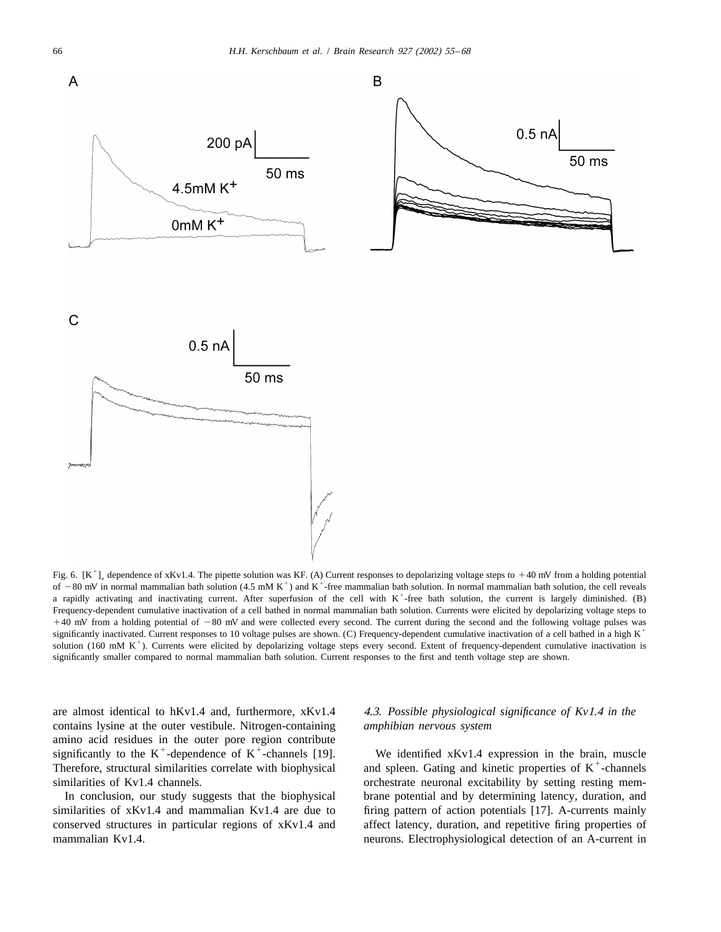

Fig. 6.  $[K^+]_e$  dependence of xKv1.4. The pipette solution was KF. (A) Current responses to depolarizing voltage steps to +40 mV from a holding potential of -80 mV in normal mammalian bath solution (4.5 mM K<sup>+</sup>) and K<sup>+</sup>a rapidly activating and inactivating current. After superfusion of the cell with  $K^+$ -free bath solution, the current is largely diminished. (B) Frequency-dependent cumulative inactivation of a cell bathed in normal mammalian bath solution. Currents were elicited by depolarizing voltage steps to  $+40$  mV from a holding potential of  $-80$  mV and were collected every second. The current during the second and the following voltage pulses was significantly inactivated. Current responses to 10 voltage pulses are shown. (C) Frequency-dependent cumulative inactivation of a cell bathed in a high K<sup>+</sup> solution (160 mM K<sup>+</sup>). Currents were elicited by depolarizing voltage steps every second. Extent of frequency-dependent cumulative inactivation is significantly smaller compared to normal mammalian bath solution. Current responses to the first and tenth voltage step are shown.

are almost identical to hKv1.4 and, furthermore, xKv1.4 4.3. *Possible physiological significance of Kv*1.4 *in the* contains lysine at the outer vestibule. Nitrogen-containing *amphibian nervous system* amino acid residues in the outer pore region contribute<br>significantly to the  $K^+$ -dependence of  $K^+$ -channels [19]. We identified xKv1.4 expression in the brain, muscle<br>Therefore, structural similarities correlate with similarities of Kv1.4 channels.  $\blacksquare$  orchestrate neuronal excitability by setting resting mem-

similarities of xKv1.4 and mammalian Kv1.4 are due to firing pattern of action potentials [17]. A-currents mainly conserved structures in particular regions of xKv1.4 and affect latency, duration, and repetitive firing properties of mammalian Kv1.4. **neurons.** Electrophysiological detection of an A-current in

In conclusion, our study suggests that the biophysical brane potential and by determining latency, duration, and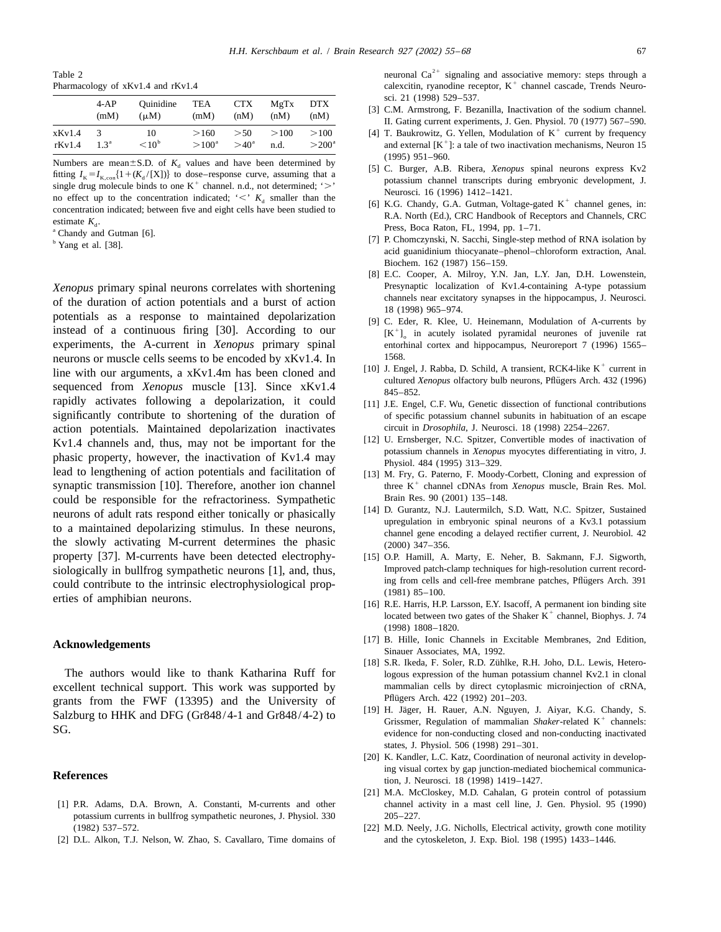|              | $4-AP$           | Ouinidine      | TEA            | CTX           | MgTx | DTX            |
|--------------|------------------|----------------|----------------|---------------|------|----------------|
|              | (mM)             | $(\mu M)$      | (mM)           | (nM)          | (nM) | (nM)           |
| xKv1.4       | 3                | 10             | >160           | >50           | >100 | >100           |
| $rk$ v $1.4$ | 1.3 <sup>a</sup> | $< 10^{\circ}$ | $>100^{\circ}$ | $>40^{\circ}$ | n.d. | $>200^{\circ}$ |

Numbers are mean  $\pm$  S.D. of  $K_d$  values and have been determined by<br>fitting  $I_k = I_{K,con} \{1 + (K_d / [X])\}$  to dose-response curve, assuming that a<br>single drug molecule binds to one  $K^+$  channel. n.d., not determined; '>'<br>no

of the duration of action potentials and a burst of action<br>potentials as a response to maintained depolarization<br>[9] C. Eder, R. Klee, U. Heinemann, Modulation of A-currents by instead of a continuous firing [30]. According to our  $[K^+]$  in acutely isolated pyramidal neurones of juvenile rat experiments, the A-current in *Xenopus* primary spinal enterthinal cortex and hippocampus, Neuroreport 7 ( neurons or muscle cells seems to be encoded by  $xKv1.4$ . In<br>line with our arguments, a  $xKv1.4$  has been cloned and<br>sequenced from *Xenopus* muscle [13]. Since  $xKv1.4$ <br> $x^2 + 32(1996)$ <br> $xKv1.4$ <br> $x^3 + 232(1996)$ <br> $xKv1.4$ <br>rapidly activates following a depolarization, it could [11] J.E. Engel, C.F. Wu, Genetic dissection of functional contributions significantly contribute to shortening of the duration of of specific potassium channel subunits in habituation of an escape action potentials. Maintained depolarization inactivates circuit in *Drosophila*, J. Neurosci. 18 (1998) 2254–2267.<br>Ky1 4 channels and thus may not be important for the [12] U. Ernsberger, N.C. Spitzer, Convertible modes o lead to lengthening of action potentials and facilitation of [13] M. Fry, G. Paterno, F. Moody-Corbett, Cloning and expression of could be responsible for the refractoriness. Sympathetic Brain Res. 90 (2001) 135–148.<br>
[14] D. Gurantz, N.J. Lautermilch, S.D. Watt, N.C. Spitzer, Sustained neurons of adult rats respond either tonically or phasically<br>to a maintained depolarizing stimulus. In these neurons,<br>the neurons,<br>channel gene encoding a delayed rectifier current, J. Neurobiol. 42 the slowly activating M-current determines the phasic  $(2000)$  347–356. property [37]. M-currents have been detected electrophy- [15] O.P. Hamill, A. Marty, E. Neher, B. Sakmann, F.J. Sigworth, siologically in bullfrog sympathetic neurons [1], and, thus,<br>
Improved patch-clamp techniques for high-resolution current record-<br>
ing from cells and cell-free membrane patches, Pflügers Arch. 391 could contribute to the intrinsic electrophysiological prop-<br>erties of amphibian neurons. [16] R.E. Harris, H.P. Larsson, E.Y. Isacoff, A permanent ion binding site

grants from the FWF (13395) and the University of<br>Salzburg to HHK and DFG (Gr848/4-1 and Gr848/4-2) to<br>SG.<br>SG.

- potassium currents in bullfrog sympathetic neurones, J. Physiol. 330 205–227.
- 

Table 2 neuronal  $Ca<sup>2+</sup>$  signaling and associative memory: steps through a Pharmacology of xKv1.4 and rKv1.4 calexcitin, ryanodine receptor, K<sup>+</sup> channel cascade, Trends Neuro-

- sci. 21 (1998) 529–537.<br>
[3] C.M. Armstrong, F. Bezanilla, Inactivation of the sodium channel.<br>
II. Gating current experiments, J. Gen. Physiol. 70 (1977) 567–590.
- [4] T. Baukrowitz, G. Yellen, Modulation of  $K^+$  current by frequency and external  $[K^+]$ : a tale of two inactivation mechanisms, Neuron 15
	-
	-
- b and Fittings, Boca Raton, FL, 1994, pp. 1–11.<br>
Fitting P. Chomczynski, N. Sacchi, Single-step method of RNA isolation by<br>
<sup>b</sup> Yang et al. [38].<br>
<sup>b</sup> Yang et al. [38]. Biochem. 162 (1987) 156–159.
- [8] E.C. Cooper, A. Milroy, Y.N. Jan, L.Y. Jan, D.H. Lowenstein, *Xenopus* primary spinal neurons correlates with shortening Presynaptic localization of Kv1.4-containing A-type potassium<br>
of the duration of action potentials and a burst of action channels near excitatory synapses in the
	- entorhinal cortex and hippocampus, Neuroreport 7 (1996) 1565–
	-
	-
- Kv1.4 channels and, thus, may not be important for the the the statement in Xenopus myocytes differentiating in vitro, J.<br>phasic property, however, the inactivation of Kv1.4 may physiol. 484 (1995) 313–329.
- synaptic transmission [10]. Therefore, another ion channel three K<sup>+</sup> channel cDNAs from *Xenopus* muscle, Brain Res. Mol.
	-
	-
	- located between two gates of the Shaker  $K^+$  channel, Biophys. J. 74 (1998) 1808–1820.
- **Acknowledgements** [17] B. Hille, Ionic Channels in Excitable Membranes, 2nd Edition, Sinauer Associates, MA, 1992.
- [18] S.R. Ikeda, F. Soler, R.D. Zühlke, R.H. Joho, D.L. Lewis, Hetero-The authors would like to thank Katharina Ruff for logous expression of the human potassium channel Kv2.1 in clonal excellent technical support. This work was supported by mammalian cells by direct cytoplasmic microinjection of cRNA, orants from the EWE (13395) and the University of Pflügers Arch. 422 (1992) 201–203.
	- evidence for non-conducting closed and non-conducting inactivated states, J. Physiol. 506 (1998) 291–301.
- [20] K. Kandler, L.C. Katz, Coordination of neuronal activity in develop-**References References ing** visual cortex by gap junction-mediated biochemical communication, J. Neurosci. 18 (1998) 1419–1427.
- [21] M.A. McCloskey, M.D. Cahalan, G protein control of potassium [1] P.R. Adams, D.A. Brown, A. Constanti, M-currents and other channel activity in a mast cell line, J. Gen. Physiol. 95 (1990)
- (1982) 537–572. [22] M.D. Neely, J.G. Nicholls, Electrical activity, growth cone motility [2] D.L. Alkon, T.J. Nelson, W. Zhao, S. Cavallaro, Time domains of and the cytoskeleton, J. Exp. Biol. 198 (1995) 1433–1446.